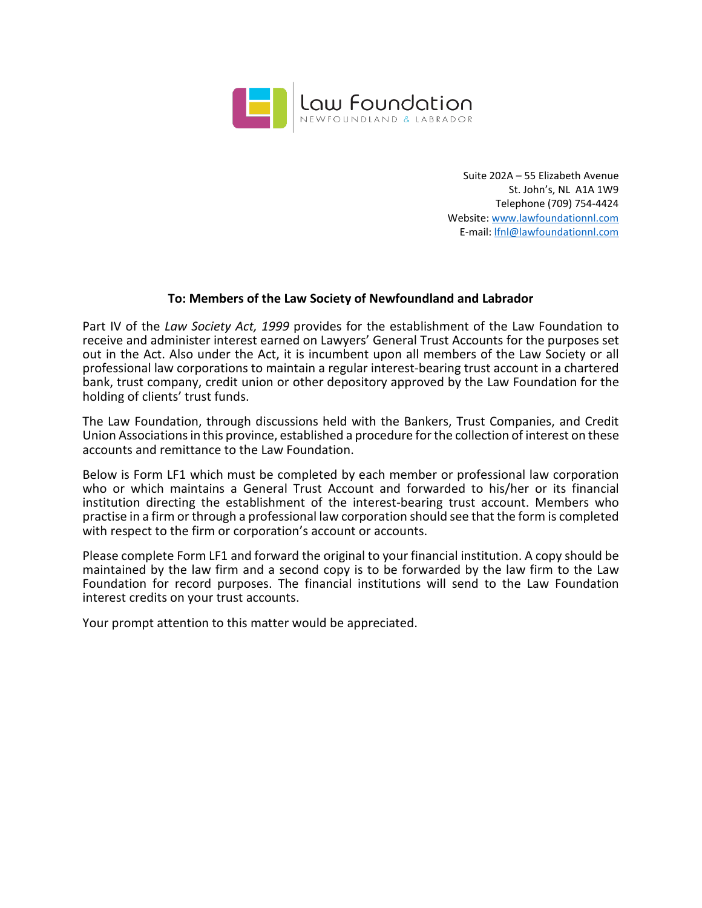

Suite 202A – 55 Elizabeth Avenue St. John's, NL A1A 1W9 Telephone (709) 754-4424 Website: www.lawfoundationnl.com E-mail: lfnl@lawfoundationnl.com

## **To: Members of the Law Society of Newfoundland and Labrador**

Part IV of the *Law Society Act, 1999* provides for the establishment of the Law Foundation to receive and administer interest earned on Lawyers' General Trust Accounts for the purposes set out in the Act. Also under the Act, it is incumbent upon all members of the Law Society or all professional law corporations to maintain a regular interest-bearing trust account in a chartered bank, trust company, credit union or other depository approved by the Law Foundation for the holding of clients' trust funds.

The Law Foundation, through discussions held with the Bankers, Trust Companies, and Credit Union Associations in this province, established a procedure for the collection of interest on these accounts and remittance to the Law Foundation.

Below is Form LF1 which must be completed by each member or professional law corporation who or which maintains a General Trust Account and forwarded to his/her or its financial institution directing the establishment of the interest-bearing trust account. Members who practise in a firm or through a professional law corporation should see that the form is completed with respect to the firm or corporation's account or accounts.

Please complete Form LF1 and forward the original to your financial institution. A copy should be maintained by the law firm and a second copy is to be forwarded by the law firm to the Law Foundation for record purposes. The financial institutions will send to the Law Foundation interest credits on your trust accounts.

Your prompt attention to this matter would be appreciated.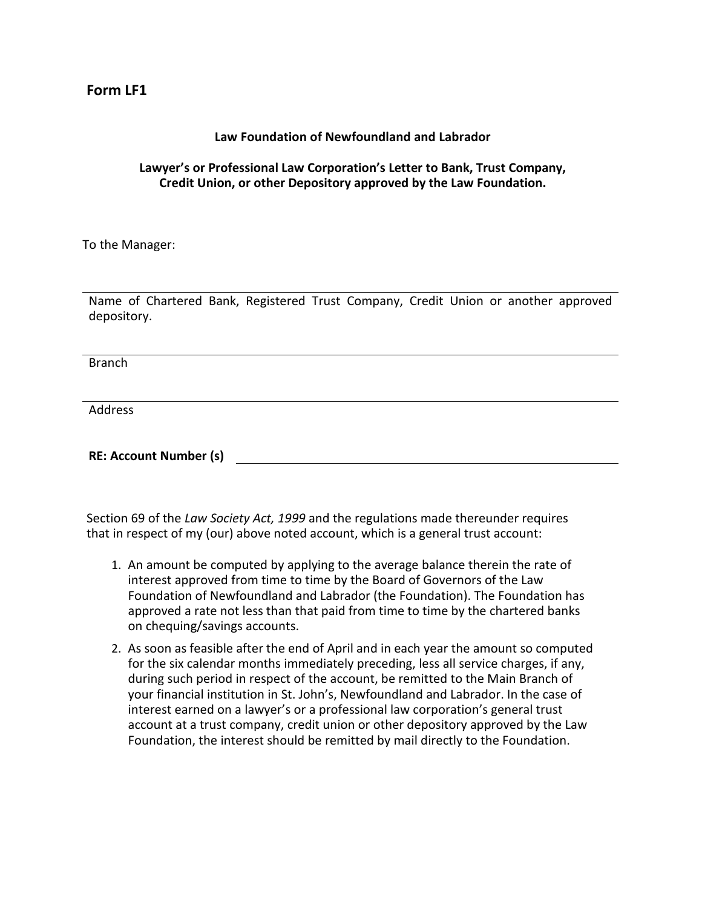## **Form LF1**

## **Law Foundation of Newfoundland and Labrador**

## **Lawyer's or Professional Law Corporation's Letter to Bank, Trust Company, Credit Union, or other Depository approved by the Law Foundation.**

To the Manager:

Name of Chartered Bank, Registered Trust Company, Credit Union or another approved depository.

Branch

Address

**RE: Account Number (s)**

Section 69 of the *Law Society Act, 1999* and the regulations made thereunder requires that in respect of my (our) above noted account, which is a general trust account:

- 1. An amount be computed by applying to the average balance therein the rate of interest approved from time to time by the Board of Governors of the Law Foundation of Newfoundland and Labrador (the Foundation). The Foundation has approved a rate not less than that paid from time to time by the chartered banks on chequing/savings accounts.
- 2. As soon as feasible after the end of April and in each year the amount so computed for the six calendar months immediately preceding, less all service charges, if any, during such period in respect of the account, be remitted to the Main Branch of your financial institution in St. John's, Newfoundland and Labrador. In the case of interest earned on a lawyer's or a professional law corporation's general trust account at a trust company, credit union or other depository approved by the Law Foundation, the interest should be remitted by mail directly to the Foundation.